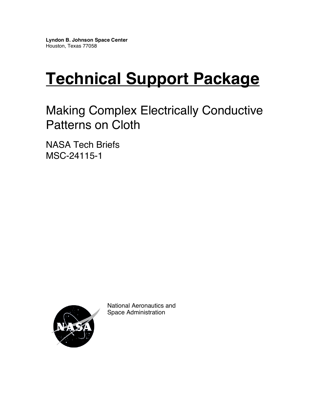# **Technical Support Package**

Making Complex Electrically Conductive Patterns on Cloth

NASA Tech Briefs MSC-24115-1



National Aeronautics and Space Administration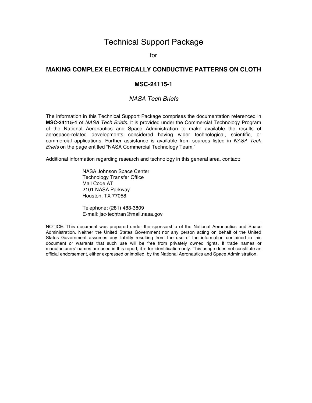## Technical Support Package

for

#### **MAKING COMPLEX ELECTRICALLY CONDUCTIVE PATTERNS ON CLOTH**

#### **MSC-24115-1**

#### *NASA Tech Briefs*

The information in this Technical Support Package comprises the documentation referenced in **MSC-24115-1** of *NASA Tech Briefs*. It is provided under the Commercial Technology Program of the National Aeronautics and Space Administration to make available the results of aerospace-related developments considered having wider technological, scientific, or commercial applications. Further assistance is available from sources listed in *NASA Tech Briefs* on the page entitled "NASA Commercial Technology Team."

Additional information regarding research and technology in this general area, contact:

NASA Johnson Space Center Technology Transfer Office Mail Code AT 2101 NASA Parkway Houston, TX 77058

Telephone: (281) 483-3809 E-mail: jsc-techtran@mail.nasa.gov

NOTICE: This document was prepared under the sponsorship of the National Aeronautics and Space Administration. Neither the United States Government nor any person acting on behalf of the United States Government assumes any liability resulting from the use of the information contained in this document or warrants that such use will be free from privately owned rights. If trade names or manufacturers' names are used in this report, it is for identification only. This usage does not constitute an official endorsement, either expressed or implied, by the National Aeronautics and Space Administration.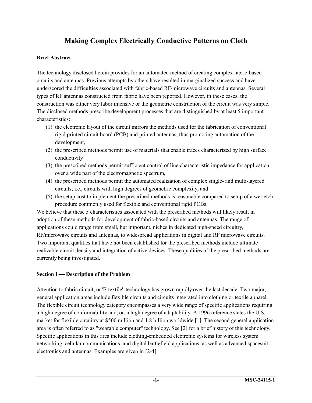# **Making Complex Electrically Conductive Patterns on Cloth**

#### **Brief Abstract**

The technology disclosed herein provides for an automated method of creating complex fabric-based circuits and antennas. Previous attempts by others have resulted in marginalized success and have underscored the difficulties associated with fabric-based RF/microwave circuits and antennas. Several types of RF antennas constructed from fabric have been reported. However, in these cases, the construction was either very labor intensive or the geometric construction of the circuit was very simple. The disclosed methods prescribe development processes that are distinguished by at least 5 important characteristics:

- (1) the electronic layout of the circuit mirrors the methods used for the fabrication of conventional rigid printed circuit board (PCB) and printed antennas, thus promoting automation of the development,
- (2) the prescribed methods permit use of materials that enable traces characterized by high surface conductivity
- (3) the prescribed methods permit sufficient control of line characteristic impedance for application over a wide part of the electromagnetic spectrum,
- (4) the prescribed methods permit the automated realization of complex single- and multi-layered circuits; i.e., circuits with high degrees of geometric complexity, and
- (5) the setup cost to implement the prescribed methods is reasonable compared to setup of a wet-etch procedure commonly used for flexible and conventional rigid PCBs.

We believe that these 5 characteristics associated with the prescribed methods will likely result in adoption of these methods for development of fabric-based circuits and antennas. The range of applications could range from small, but important, niches in dedicated high-speed circuitry, RF/microwave circuits and antennas, to widespread applications in digital and RF microwave circuits. Two important qualities that have not been established for the prescribed methods include ultimate realizable circuit density and integration of active devices. These qualities of the prescribed methods are currently being investigated.

#### **Section I** — Description of the Problem

Attention to fabric circuit, or 'E-textile', technology has grown rapidly over the last decade. Two major, general application areas include flexible circuits and circuits integrated into clothing or textile apparel. The flexible circuit technology category encompasses a very wide range of specific applications requiring a high degree of conformability and, or, a high degree of adaptability. A 1996 reference states the U.S. market for flexible circuitry at \$500 million and 1.8 billion worldwide [1]. The second general application area is often referred to as "wearable computer" technology. See [2] for a brief history of this technology. Specific applications in this area include clothing-embedded electronic systems for wireless system networking, cellular communications, and digital battlefield applications, as well as advanced spacesuit electronics and antennas. Examples are given in [2-4].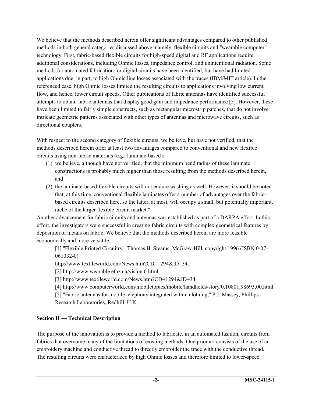We believe that the methods described herein offer significant advantages compared to other published methods in both general categories discussed above, namely, flexible circuits and "wearable computer" technology. First, fabric-based flexible circuits for high-speed digital and RF applications require additional considerations, including Ohmic losses, impedance control, and unintentional radiation. Some methods for automated fabrication for digital circuits have been identified, but have had limited applications due, in part, to high Ohmic line losses associated with the traces (IBM/MIT article). In the referenced case, high Ohmic losses limited the resulting circuits to applications involving low current flow, and hence, lower circuit speeds. Other publications of fabric antennas have identified successful attempts to obtain fabric antennas that display good gain and impedance performance [5]. However, these have been limited to fairly simple constructs, such as rectangular microstrip patches, that do not involve intricate geometric patterns associated with other types of antennas and microwave circuits, such as directional couplers.

With respect to the second category of flexible circuits, we believe, but have not verified, that the methods described herein offer at least two advantages compared to conventional and new flexible circuits using non-fabric materials (e.g., laminate-based):

- (1) we believe, although have not verified, that the minimum bend radius of these laminate constructions is probably much higher than those resulting from the methods described herein, and
- (2) the laminate-based flexible circuits will not endure washing as well. However, it should be noted that, at this time, conventional flexible laminates offer a number of advantages over the fabricbased circuits described here, so the latter, at most, will occupy a small, but potentially important, niche of the larger flexible circuit market."

Another advancement for fabric circuits and antennas was established as part of a DARPA effort. In this effort, the investigators were successful in creating fabric circuits with complex geometrical features by deposition of metals on fabric. We believe that the methods described herein are more feasible economically and more versatile.

[1] "Flexible Printed Circuitry", Thomas H. Steams, McGraw-Hill, copyright 1996 (ISBN 0-07- 061032-0)

http://www.textileworld.com/News.htm?CD=1294&ID=341

[2] http://www.wearable.ethz.ch/vision.0.html

[3] http://www.textileworld.com/News.htm?CD=1294&ID=34

[4] http://www.computerworld.com/mobiletopics/mobile/handhelds/story/0,10801,98693,00.html

[5] "Fabric antennas for mobile telephony integrated within clothing," P.J. Massey, Phillips Research Laboratories, Redhill, U.K.

#### **Section II** — Technical Description

The purpose of the innovation is to provide a method to fabricate, in an automated fashion, circuits from fabrics that overcome many of the limitations of existing methods. One prior art consists of the use of an embroidery machine and conductive thread to directly embroider the trace with the conductive thread. The resulting circuits were characterized by high Ohmic losses and therefore limited to lower-speed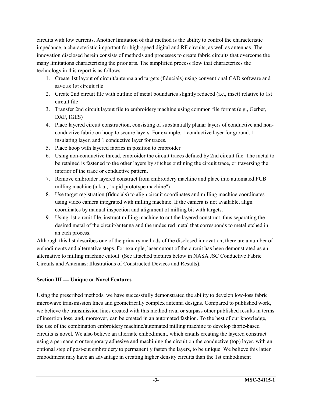circuits with low currents. Another limitation of that method is the ability to control the characteristic impedance, a characteristic important for high-speed digital and RF circuits, as well as antennas. The innovation disclosed herein consists of methods and processes to create fabric circuits that overcome the many limitations characterizing the prior arts. The simplified process flow that characterizes the technology in this report is as follows:

- 1. Create 1st layout of circuit/antenna and targets (fiducials) using conventional CAD software and save as 1st circuit file
- 2. Create 2nd circuit file with outline of metal boundaries slightly reduced (i.e., inset) relative to 1st circuit file
- 3. Transfer 2nd circuit layout file to embroidery machine using common file format (e.g., Gerber, DXF, IGES)
- 4. Place layered circuit construction, consisting of substantially planar layers of conductive and nonconductive fabric on hoop to secure layers. For example, 1 conductive layer for ground, 1 insulating layer, and 1 conductive layer for traces.
- 5. Place hoop with layered fabrics in position to embroider
- 6. Using non-conductive thread, embroider the circuit traces defined by 2nd circuit file. The metal to be retained is fastened to the other layers by stitches outlining the circuit trace, or traversing the interior of the trace or conductive pattern.
- 7. Remove embroider layered construct from embroidery machine and place into automated PCB milling machine (a.k.a., "rapid prototype machine")
- 8. Use target registration (fiducials) to align circuit coordinates and milling machine coordinates using video camera integrated with milling machine. If the camera is not available, align coordinates by manual inspection and alignment of milling bit with targets.
- 9. Using 1st circuit file, instruct milling machine to cut the layered construct, thus separating the desired metal of the circuit/antenna and the undesired metal that corresponds to metal etched in an etch process.

Although this list describes one of the primary methods of the disclosed innovation, there are a number of embodiments and alternative steps. For example, laser cutout of the circuit has been demonstrated as an alternative to milling machine cutout. (See attached pictures below in NASA JSC Conductive Fabric Circuits and Antennas: Illustrations of Constructed Devices and Results).

## **Section III — Unique or Novel Features**

Using the prescribed methods, we have successfully demonstrated the ability to develop low-loss fabric microwave transmission lines and geometrically complex antenna designs. Compared to published work, we believe the transmission lines created with this method rival or surpass other published results in terms of insertion loss, and, moreover, can be created in an automated fashion. To the best of our knowledge, the use of the combination embroidery machine/automated milling machine to develop fabric-based circuits is novel. We also believe an alternate embodiment, which entails creating the layered construct using a permanent or temporary adhesive and machining the circuit on the conductive (top) layer, with an optional step of post-cut embroidery to permanently fasten the layers, to be unique. We believe this latter embodiment may have an advantage in creating higher density circuits than the 1st embodiment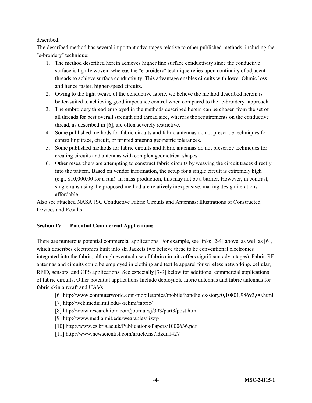#### described.

The described method has several important advantages relative to other published methods, including the "e-broidery" technique:

- 1. The method described herein achieves higher line surface conductivity since the conductive surface is tightly woven, whereas the "e-broidery" technique relies upon continuity of adjacent threads to achieve surface conductivity. This advantage enables circuits with lower Ohmic loss and hence faster, higher-speed circuits.
- 2. Owing to the tight weave of the conductive fabric, we believe the method described herein is better-suited to achieving good impedance control when compared to the "e-broidery" approach
- 3. The embroidery thread employed in the methods described herein can be chosen from the set of all threads for best overall strength and thread size, whereas the requirements on the conductive thread, as described in [6], are often severely restrictive.
- 4. Some published methods for fabric circuits and fabric antennas do not prescribe techniques for controlling trace, circuit, or printed antenna geometric tolerances.
- 5. Some published methods for fabric circuits and fabric antennas do not prescribe techniques for creating circuits and antennas with complex geometrical shapes.
- 6. Other researchers are attempting to construct fabric circuits by weaving the circuit traces directly into the pattern. Based on vendor information, the setup for a single circuit is extremely high (e.g., \$10,000.00 for a run). In mass production, this may not be a barrier. However, in contrast, single runs using the proposed method are relatively inexpensive, making design iterations affordable.

Also see attached NASA JSC Conductive Fabric Circuits and Antennas: Illustrations of Constructed Devices and Results

#### **Section IV — Potential Commercial Applications**

There are numerous potential commercial applications. For example, see links [2-4] above, as well as [6], which describes electronics built into ski Jackets (we believe these to be conventional electronics integrated into the fabric, although eventual use of fabric circuits offers significant advantages). Fabric RF antennas and circuits could be employed in clothing and textile apparel for wireless networking, cellular, RFID, sensors, and GPS applications. See especially [7-9] below for additional commercial applications of fabric circuits. Other potential applications Include deployable fabric antennas and fabric antennas for fabric skin aircraft and UAVs.

- [6] http://www.computerworld.com/mobiletopics/mobile/handhelds/story/0,10801,98693,00.html
- [7] http://web.media.mit.edu/~rehmi/fabric/
- [8] http://www.research.ibm.com/journal/sj/393/part3/post.html
- [9] http://www.media.mit.edu/wearables/lizzy/
- [10] http://www.cs.bris.ac.uk/Publications/Papers/1000636.pdf
- [11] http://www.newscientist.com/article.ns7idzdn1427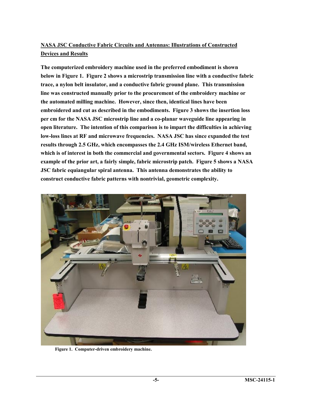## **NASA JSC Conductive Fabric Circuits and Antennas: Illustrations of Constructed Devices and Results**

**The computerized embroidery machine used in the preferred embodiment is shown below in Figure 1. Figure 2 shows a microstrip transmission line with a conductive fabric trace, a nylon belt insulator, and a conductive fabric ground plane. This transmission line was constructed manually prior to the procurement of the embroidery machine or the automated milling machine. However, since then, identical lines have been embroidered and cut as described in the embodiments. Figure 3 shows the insertion loss per cm for the NASA JSC microstrip line and a co-planar waveguide line appearing in open literature. The intention of this comparison is to impart the difficulties in achieving low-loss lines at RF and microwave frequencies. NASA JSC has since expanded the test results through 2.5 GHz, which encompasses the 2.4 GHz ISM/wireless Ethernet band, which is of interest in both the commercial and governmental sectors. Figure 4 shows an example of the prior art, a fairly simple, fabric microstrip patch. Figure 5 shows a NASA JSC fabric equiangular spiral antenna. This antenna demonstrates the ability to construct conductive fabric patterns with nontrivial, geometric complexity.** 



 **Figure 1. Computer-driven embroidery machine.**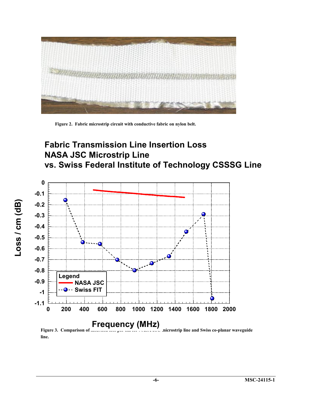

 **Figure 2. Fabric microstrip circuit with conductive fabric on nylon belt.** 

# **Fabric Transmission Line Insertion Loss NASA JSC Microstrip Line vs. Swiss Federal Institute of Technology CSSSG Line**



Figure 3. Comparison of **insertion loss per cm for NASA JSC microstrip line and Swiss co-planar waveguide line.**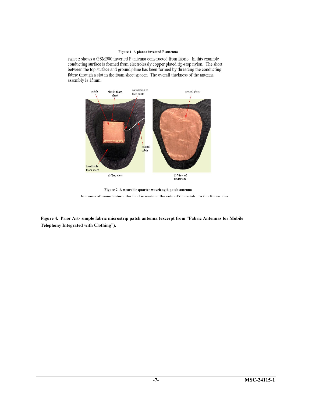#### Figure 1 A planar inverted F antenna

Figure 2 shows a GSM900 inverted F antenna constructed from fabric. In this example conducting surface is formed from electrolessly copper plated rip-stop nylon. The short between the top surface and ground plane has been formed by threading the conducting fabric through a slot in the foam sheet spacer. The overall thickness of the antenna assembly is 15mm.



Figure 2 A wearable quarter wavelength patch antenna Ear ance of monufacture the food is made of the side of the noteh. In the figure the

**Figure 4. Prior Art- simple fabric microstrip patch antenna (excerpt from "Fabric Antennas for Mobile Telephony Integrated with Clothing").**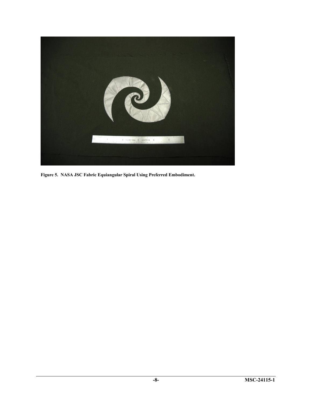

**Figure 5. NASA JSC Fabric Equiangular Spiral Using Preferred Embodiment.**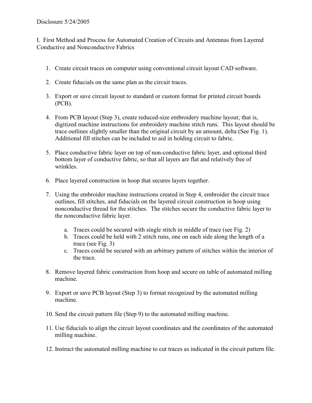I. First Method and Process for Automated Creation of Circuits and Antennas from Layered Conductive and Nonconductive Fabrics

- 1. Create circuit traces on computer using conventional circuit layout CAD software.
- 2. Create fiducials on the same plan as the circuit traces.
- 3. Export or save circuit layout to standard or custom format for printed circuit boards (PCB).
- 4. From PCB layout (Step 3), create reduced-size embroidery machine layout; that is, digitized machine instructions for embroidery machine stitch runs. This layout should be trace outlines slightly smaller than the original circuit by an amount, delta (See Fig. 1). Additional fill stitches can be included to aid in holding circuit to fabric.
- 5. Place conductive fabric layer on top of non-conductive fabric layer, and optional third bottom layer of conductive fabric, so that all layers are flat and relatively free of wrinkles.
- 6. Place layered construction in hoop that secures layers together.
- 7. Using the embroider machine instructions created in Step 4, embroider the circuit trace outlines, fill stitches, and fiducials on the layered circuit construction in hoop using nonconductive thread for the stitches. The stitches secure the conductive fabric layer to the nonconductive fabric layer.
	- a. Traces could be secured with single stitch in middle of trace (see Fig. 2)
	- b. Traces could be held with 2 stitch runs, one on each side along the length of a trace (see Fig. 3)
	- c. Traces could be secured with an arbitrary pattern of stitches within the interior of the trace.
- 8. Remove layered fabric construction from hoop and secure on table of automated milling machine.
- 9. Export or save PCB layout (Step 3) to format recognized by the automated milling machine.
- 10. Send the circuit pattern file (Step 9) to the automated milling machine.
- 11. Use fiducials to align the circuit layout coordinates and the coordinates of the automated milling machine.
- 12. Instruct the automated milling machine to cut traces as indicated in the circuit pattern file.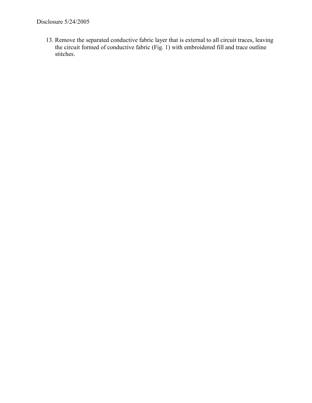13. Remove the separated conductive fabric layer that is external to all circuit traces, leaving the circuit formed of conductive fabric (Fig. 1) with embroidered fill and trace outline stitches.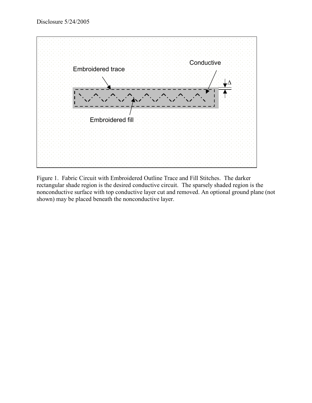

Figure 1. Fabric Circuit with Embroidered Outline Trace and Fill Stitches. The darker rectangular shade region is the desired conductive circuit. The sparsely shaded region is the nonconductive surface with top conductive layer cut and removed. An optional ground plane (not shown) may be placed beneath the nonconductive layer.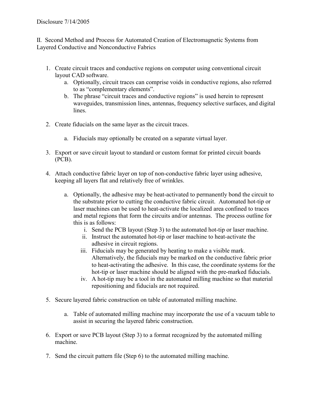II. Second Method and Process for Automated Creation of Electromagnetic Systems from Layered Conductive and Nonconductive Fabrics

- 1. Create circuit traces and conductive regions on computer using conventional circuit layout CAD software.
	- a. Optionally, circuit traces can comprise voids in conductive regions, also referred to as "complementary elements".
	- b. The phrase "circuit traces and conductive regions" is used herein to represent waveguides, transmission lines, antennas, frequency selective surfaces, and digital lines.
- 2. Create fiducials on the same layer as the circuit traces.
	- a. Fiducials may optionally be created on a separate virtual layer.
- 3. Export or save circuit layout to standard or custom format for printed circuit boards (PCB).
- 4. Attach conductive fabric layer on top of non-conductive fabric layer using adhesive, keeping all layers flat and relatively free of wrinkles.
	- a. Optionally, the adhesive may be heat-activated to permanently bond the circuit to the substrate prior to cutting the conductive fabric circuit. Automated hot-tip or laser machines can be used to heat-activate the localized area confined to traces and metal regions that form the circuits and/or antennas. The process outline for this is as follows:
		- i. Send the PCB layout (Step 3) to the automated hot-tip or laser machine.
		- ii. Instruct the automated hot-tip or laser machine to heat-activate the adhesive in circuit regions.
		- iii. Fiducials may be generated by heating to make a visible mark. Alternatively, the fiducials may be marked on the conductive fabric prior to heat-activating the adhesive. In this case, the coordinate systems for the hot-tip or laser machine should be aligned with the pre-marked fiducials.
		- iv. A hot-tip may be a tool in the automated milling machine so that material repositioning and fiducials are not required.
- 5. Secure layered fabric construction on table of automated milling machine.
	- a. Table of automated milling machine may incorporate the use of a vacuum table to assist in securing the layered fabric construction.
- 6. Export or save PCB layout (Step 3) to a format recognized by the automated milling machine.
- 7. Send the circuit pattern file (Step 6) to the automated milling machine.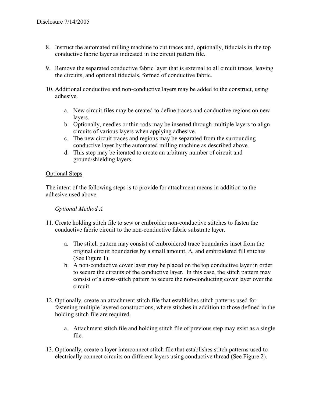- 8. Instruct the automated milling machine to cut traces and, optionally, fiducials in the top conductive fabric layer as indicated in the circuit pattern file.
- 9. Remove the separated conductive fabric layer that is external to all circuit traces, leaving the circuits, and optional fiducials, formed of conductive fabric.
- 10. Additional conductive and non-conductive layers may be added to the construct, using adhesive.
	- a. New circuit files may be created to define traces and conductive regions on new layers.
	- b. Optionally, needles or thin rods may be inserted through multiple layers to align circuits of various layers when applying adhesive.
	- c. The new circuit traces and regions may be separated from the surrounding conductive layer by the automated milling machine as described above.
	- d. This step may be iterated to create an arbitrary number of circuit and ground/shielding layers.

#### Optional Steps

The intent of the following steps is to provide for attachment means in addition to the adhesive used above.

#### *Optional Method A*

- 11. Create holding stitch file to sew or embroider non-conductive stitches to fasten the conductive fabric circuit to the non-conductive fabric substrate layer.
	- a. The stitch pattern may consist of embroidered trace boundaries inset from the original circuit boundaries by a small amount, ∆, and embroidered fill stitches (See Figure 1).
	- b. A non-conductive cover layer may be placed on the top conductive layer in order to secure the circuits of the conductive layer. In this case, the stitch pattern may consist of a cross-stitch pattern to secure the non-conducting cover layer over the circuit.
- 12. Optionally, create an attachment stitch file that establishes stitch patterns used for fastening multiple layered constructions, where stitches in addition to those defined in the holding stitch file are required.
	- a. Attachment stitch file and holding stitch file of previous step may exist as a single file.
- 13. Optionally, create a layer interconnect stitch file that establishes stitch patterns used to electrically connect circuits on different layers using conductive thread (See Figure 2).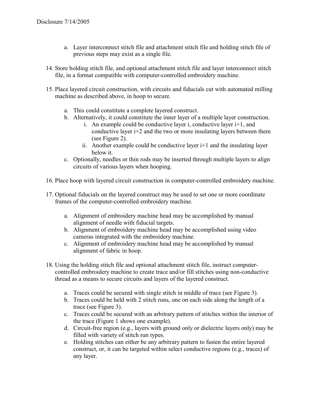- a. Layer interconnect stitch file and attachment stitch file and holding stitch file of previous steps may exist as a single file.
- 14. Store holding stitch file, and optional attachment stitch file and layer interconnect stitch file, in a format compatible with computer-controlled embroidery machine.
- 15. Place layered circuit construction, with circuits and fiducials cut with automated milling machine as described above, in hoop to secure.
	- a. This could constitute a complete layered construct.
	- b. Alternatively, it could constitute the inner layer of a multiple layer construction.
		- i. An example could be conductive layer i, conductive layer  $i+1$ , and conductive layer i+2 and the two or more insulating layers between them (see Figure 2).
		- ii. Another example could be conductive layer  $i+1$  and the insulating layer below it.
	- c. Optionally, needles or thin rods may be inserted through multiple layers to align circuits of various layers when hooping.
- 16. Place hoop with layered circuit construction in computer-controlled embroidery machine.
- 17. Optional fiducials on the layered construct may be used to set one or more coordinate frames of the computer-controlled embroidery machine.
	- a. Alignment of embroidery machine head may be accomplished by manual alignment of needle with fiducial targets.
	- b. Alignment of embroidery machine head may be accomplished using video cameras integrated with the embroidery machine.
	- c. Alignment of embroidery machine head may be accomplished by manual alignment of fabric in hoop.
- 18. Using the holding stitch file and optional attachment stitch file, instruct computercontrolled embroidery machine to create trace and/or fill stitches using non-conductive thread as a means to secure circuits and layers of the layered construct.
	- a. Traces could be secured with single stitch in middle of trace (see Figure 3).
	- b. Traces could be held with 2 stitch runs, one on each side along the length of a trace (see Figure 3).
	- c. Traces could be secured with an arbitrary pattern of stitches within the interior of the trace (Figure 1 shows one example).
	- d. Circuit-free region (e.g., layers with ground only or dielectric layers only) may be filled with variety of stitch run types.
	- e. Holding stitches can either be any arbitrary pattern to fasten the entire layered construct, or, it can be targeted within select conductive regions (e.g., traces) of any layer.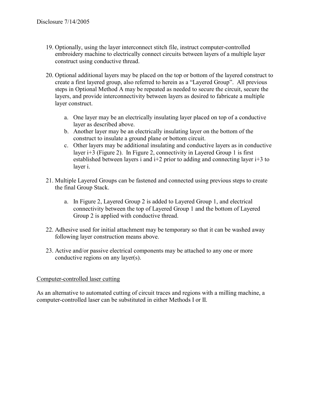- 19. Optionally, using the layer interconnect stitch file, instruct computer-controlled embroidery machine to electrically connect circuits between layers of a multiple layer construct using conductive thread.
- 20. Optional additional layers may be placed on the top or bottom of the layered construct to create a first layered group, also referred to herein as a "Layered Group". All previous steps in Optional Method A may be repeated as needed to secure the circuit, secure the layers, and provide interconnectivity between layers as desired to fabricate a multiple layer construct.
	- a. One layer may be an electrically insulating layer placed on top of a conductive layer as described above.
	- b. Another layer may be an electrically insulating layer on the bottom of the construct to insulate a ground plane or bottom circuit.
	- c. Other layers may be additional insulating and conductive layers as in conductive layer  $i+3$  (Figure 2). In Figure 2, connectivity in Layered Group 1 is first established between layers i and i+2 prior to adding and connecting layer i+3 to layer i.
- 21. Multiple Layered Groups can be fastened and connected using previous steps to create the final Group Stack.
	- a. In Figure 2, Layered Group 2 is added to Layered Group 1, and electrical connectivity between the top of Layered Group 1 and the bottom of Layered Group 2 is applied with conductive thread.
- 22. Adhesive used for initial attachment may be temporary so that it can be washed away following layer construction means above.
- 23. Active and/or passive electrical components may be attached to any one or more conductive regions on any layer(s).

#### Computer-controlled laser cutting

As an alternative to automated cutting of circuit traces and regions with a milling machine, a computer-controlled laser can be substituted in either Methods I or II.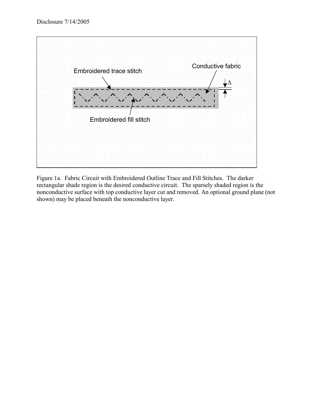

Figure 1a. Fabric Circuit with Embroidered Outline Trace and Fill Stitches. The darker rectangular shade region is the desired conductive circuit. The sparsely shaded region is the nonconductive surface with top conductive layer cut and removed. An optional ground plane (not shown) may be placed beneath the nonconductive layer.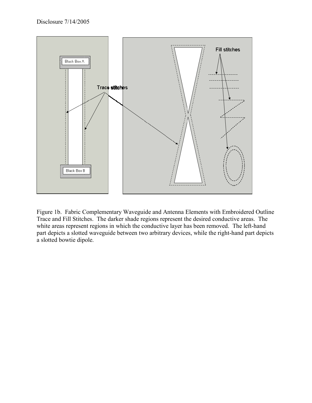

Figure 1b. Fabric Complementary Waveguide and Antenna Elements with Embroidered Outline Trace and Fill Stitches. The darker shade regions represent the desired conductive areas. The white areas represent regions in which the conductive layer has been removed. The left-hand part depicts a slotted waveguide between two arbitrary devices, while the right-hand part depicts a slotted bowtie dipole.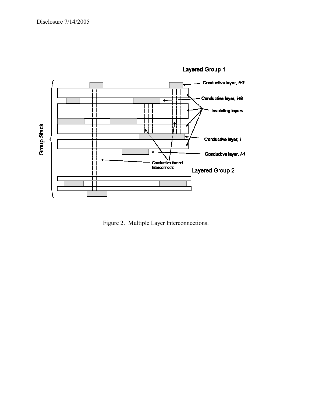

Figure 2. Multiple Layer Interconnections.